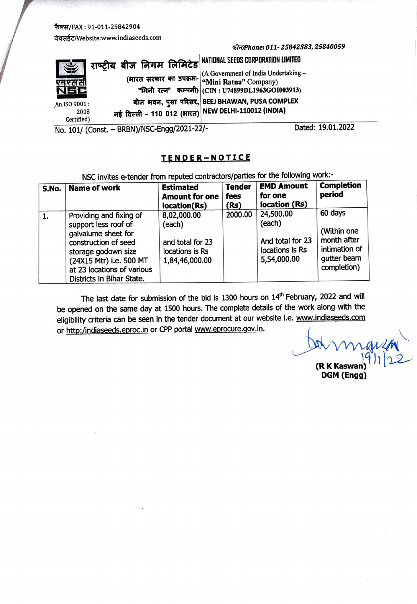## फैक्स/FAX: 91-011-25842904

~/Website:www.indiaseeds.com

## *rir.rtf'hone:011-25842383,25840059*

|              | राष्ट्रीय बीज निगम लिमिटेड <sup> NATIONAL SEEDS CORPORATION LIMITED</sup> |                                                             |
|--------------|---------------------------------------------------------------------------|-------------------------------------------------------------|
|              |                                                                           |                                                             |
|              |                                                                           | (भारत सरकार का उपक्रम- (A Government of India Undertaking – |
| एन एस सी     |                                                                           |                                                             |
| NEC          |                                                                           | "मिनी रत्न" कम्पनी) (CIN: U74899DL1963GOI003913)            |
|              |                                                                           |                                                             |
| An ISO 9001: |                                                                           | बीज भवन, पुसा परिसर, BEEJ BHAWAN, PUSA COMPLEX              |
| 2008         | नई दिल्ली - 110 012 (भारत) NEW DELHI-110012 (INDIA)                       |                                                             |
| Certified)   |                                                                           |                                                             |

No. 101/ (Const. - BRBN)/NSC-Engg/2021-22/- Dated: 19.01.2022

## **TENDER-NOTICE**

| NSC invites e-tender from reputed contractors/parties for the following work:- |                                                                                                                                                                                                             |                                                                                |                               |                                                                           |                                                                                      |  |
|--------------------------------------------------------------------------------|-------------------------------------------------------------------------------------------------------------------------------------------------------------------------------------------------------------|--------------------------------------------------------------------------------|-------------------------------|---------------------------------------------------------------------------|--------------------------------------------------------------------------------------|--|
| S.No.                                                                          | <b>Name of work</b>                                                                                                                                                                                         | <b>Estimated</b><br><b>Amount for one</b><br>location(Rs)                      | <b>Tender</b><br>fees<br>(Rs) | <b>EMD Amount</b><br>for one<br>location (Rs)                             | <b>Completion</b><br>period                                                          |  |
| 1.                                                                             | Providing and fixing of<br>support less roof of<br>galvalume sheet for<br>construction of seed<br>storage godown size<br>(24X15 Mtr) i.e. 500 MT<br>at 23 locations of various<br>Districts in Bihar State. | 8,02,000.00<br>(each)<br>and total for 23<br>locations is Rs<br>1,84,46,000.00 | 2000.00                       | 24,500.00<br>(each)<br>And total for 23<br>locations is Rs<br>5,54,000.00 | 60 days<br>(Within one<br>month after<br>intimation of<br>qutter beam<br>completion) |  |

The last date for submission of the bid is 1300 hours on  $14<sup>th</sup>$  February, 2022 and will be opened on the same day at 1500 hours. The complete details of the work along with the eligibility criteria can be seen in the tender document at our website i.e. www.indiaseeds.com or http:/indiaseeds.eproc.in or CPP portal www.eprocure.gov.in.

**(RKK** Kaswan) **DGM (Engg)**